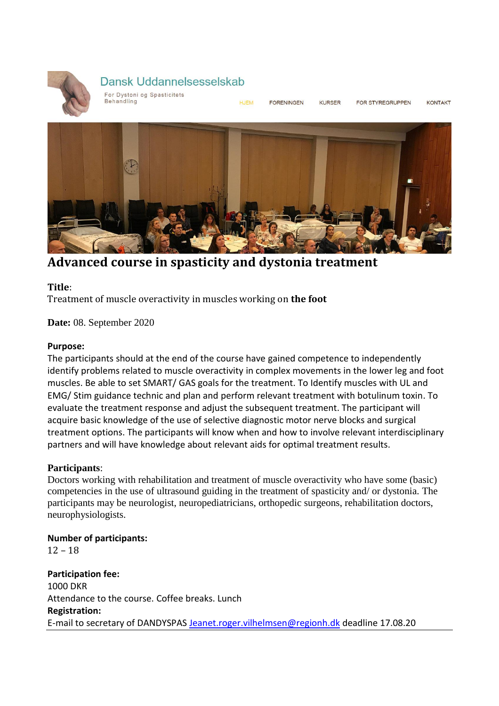

# Dansk Uddannelsesselskab

For Dystoni og Spasticitets Behandling

**HJFM** 

**FORENINGEN** 

KURSER

FOR STYREGRUPPEN

**KONTAKT** 



**Advanced course in spasticity and dystonia treatment**

### **Title**:

Treatment of muscle overactivity in muscles working on **the foot**

**Date:** 08. September 2020

### **Purpose:**

The participants should at the end of the course have gained competence to independently identify problems related to muscle overactivity in complex movements in the lower leg and foot muscles. Be able to set SMART/ GAS goals for the treatment. To Identify muscles with UL and EMG/ Stim guidance technic and plan and perform relevant treatment with botulinum toxin. To evaluate the treatment response and adjust the subsequent treatment. The participant will acquire basic knowledge of the use of selective diagnostic motor nerve blocks and surgical treatment options. The participants will know when and how to involve relevant interdisciplinary partners and will have knowledge about relevant aids for optimal treatment results.

## **Participants**:

Doctors working with rehabilitation and treatment of muscle overactivity who have some (basic) competencies in the use of ultrasound guiding in the treatment of spasticity and/ or dystonia. The participants may be neurologist, neuropediatricians, orthopedic surgeons, rehabilitation doctors, neurophysiologists.

**Number of participants:** 12 – 18

**Participation fee:** 1000 DKR Attendance to the course. Coffee breaks. Lunch **Registration:** E-mail to secretary of DANDYSPA[S Jeanet.roger.vilhelmsen@regionh.dk](mailto:Jeanet.roger.vilhelmsen@regionh.dk) deadline 17.08.20